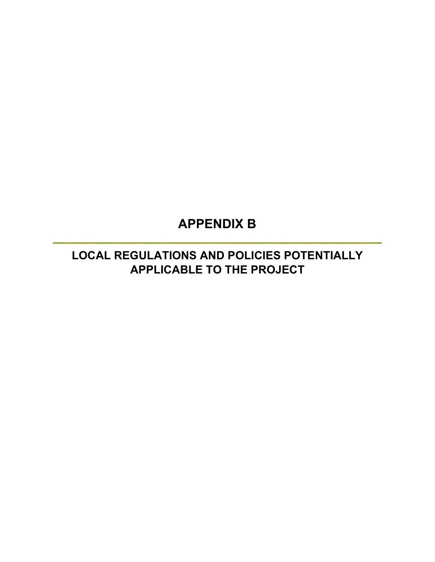# **APPENDIX B**

**LOCAL REGULATIONS AND POLICIES POTENTIALLY APPLICABLE TO THE PROJECT**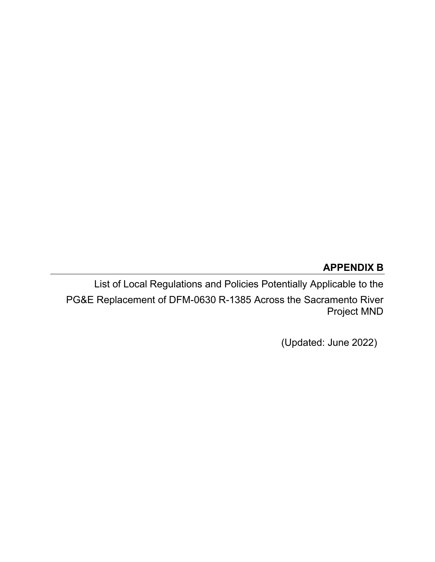# **APPENDIX B**

List of Local Regulations and Policies Potentially Applicable to the PG&E Replacement of DFM-0630 R-1385 Across the Sacramento River Project MND

(Updated: June 2022)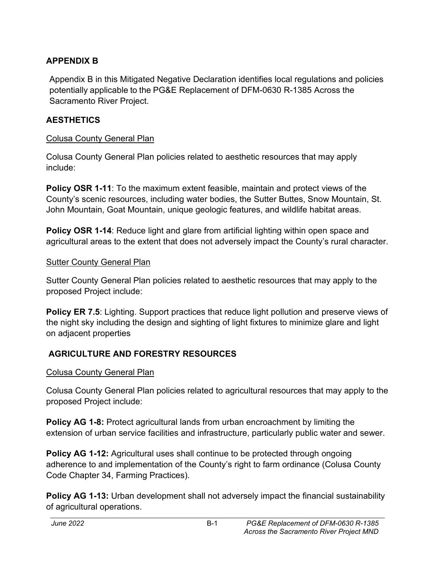### **APPENDIX B**

Appendix B in this Mitigated Negative Declaration identifies local regulations and policies potentially applicable to the PG&E Replacement of DFM-0630 R-1385 Across the Sacramento River Project.

### **AESTHETICS**

#### Colusa County General Plan

Colusa County General Plan policies related to aesthetic resources that may apply include:

**Policy OSR 1-11**: To the maximum extent feasible, maintain and protect views of the County's scenic resources, including water bodies, the Sutter Buttes, Snow Mountain, St. John Mountain, Goat Mountain, unique geologic features, and wildlife habitat areas.

**Policy OSR 1-14:** Reduce light and glare from artificial lighting within open space and agricultural areas to the extent that does not adversely impact the County's rural character.

#### Sutter County General Plan

Sutter County General Plan policies related to aesthetic resources that may apply to the proposed Project include:

**Policy ER 7.5:** Lighting. Support practices that reduce light pollution and preserve views of the night sky including the design and sighting of light fixtures to minimize glare and light on adjacent properties

### **AGRICULTURE AND FORESTRY RESOURCES**

### Colusa County General Plan

Colusa County General Plan policies related to agricultural resources that may apply to the proposed Project include:

**Policy AG 1-8:** Protect agricultural lands from urban encroachment by limiting the extension of urban service facilities and infrastructure, particularly public water and sewer.

**Policy AG 1-12:** Agricultural uses shall continue to be protected through ongoing adherence to and implementation of the County's right to farm ordinance (Colusa County Code Chapter 34, Farming Practices).

**Policy AG 1-13:** Urban development shall not adversely impact the financial sustainability of agricultural operations.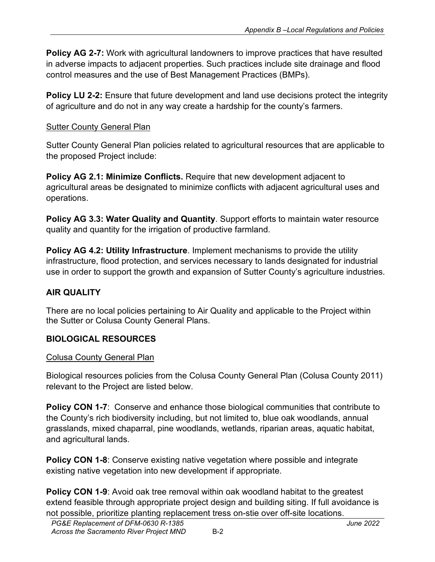**Policy AG 2-7:** Work with agricultural landowners to improve practices that have resulted in adverse impacts to adjacent properties. Such practices include site drainage and flood control measures and the use of Best Management Practices (BMPs).

**Policy LU 2-2:** Ensure that future development and land use decisions protect the integrity of agriculture and do not in any way create a hardship for the county's farmers.

### Sutter County General Plan

Sutter County General Plan policies related to agricultural resources that are applicable to the proposed Project include:

**Policy AG 2.1: Minimize Conflicts.** Require that new development adjacent to agricultural areas be designated to minimize conflicts with adjacent agricultural uses and operations.

**Policy AG 3.3: Water Quality and Quantity**. Support efforts to maintain water resource quality and quantity for the irrigation of productive farmland.

**Policy AG 4.2: Utility Infrastructure**. Implement mechanisms to provide the utility infrastructure, flood protection, and services necessary to lands designated for industrial use in order to support the growth and expansion of Sutter County's agriculture industries.

# **AIR QUALITY**

There are no local policies pertaining to Air Quality and applicable to the Project within the Sutter or Colusa County General Plans.

# **BIOLOGICAL RESOURCES**

### Colusa County General Plan

Biological resources policies from the Colusa County General Plan (Colusa County 2011) relevant to the Project are listed below.

**Policy CON 1-7:** Conserve and enhance those biological communities that contribute to the County's rich biodiversity including, but not limited to, blue oak woodlands, annual grasslands, mixed chaparral, pine woodlands, wetlands, riparian areas, aquatic habitat, and agricultural lands.

**Policy CON 1-8:** Conserve existing native vegetation where possible and integrate existing native vegetation into new development if appropriate.

**Policy CON 1-9**: Avoid oak tree removal within oak woodland habitat to the greatest extend feasible through appropriate project design and building siting. If full avoidance is not possible, prioritize planting replacement tress on-stie over off-site locations.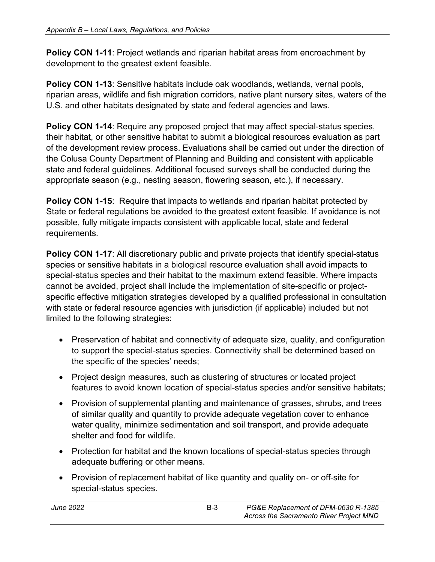**Policy CON 1-11**: Project wetlands and riparian habitat areas from encroachment by development to the greatest extent feasible.

**Policy CON 1-13**: Sensitive habitats include oak woodlands, wetlands, vernal pools, riparian areas, wildlife and fish migration corridors, native plant nursery sites, waters of the U.S. and other habitats designated by state and federal agencies and laws.

Policy CON 1-14: Require any proposed project that may affect special-status species, their habitat, or other sensitive habitat to submit a biological resources evaluation as part of the development review process. Evaluations shall be carried out under the direction of the Colusa County Department of Planning and Building and consistent with applicable state and federal guidelines. Additional focused surveys shall be conducted during the appropriate season (e.g., nesting season, flowering season, etc.), if necessary.

**Policy CON 1-15**: Require that impacts to wetlands and riparian habitat protected by State or federal regulations be avoided to the greatest extent feasible. If avoidance is not possible, fully mitigate impacts consistent with applicable local, state and federal requirements.

**Policy CON 1-17:** All discretionary public and private projects that identify special-status species or sensitive habitats in a biological resource evaluation shall avoid impacts to special-status species and their habitat to the maximum extend feasible. Where impacts cannot be avoided, project shall include the implementation of site-specific or projectspecific effective mitigation strategies developed by a qualified professional in consultation with state or federal resource agencies with jurisdiction (if applicable) included but not limited to the following strategies:

- Preservation of habitat and connectivity of adequate size, quality, and configuration to support the special-status species. Connectivity shall be determined based on the specific of the species' needs;
- Project design measures, such as clustering of structures or located project features to avoid known location of special-status species and/or sensitive habitats;
- Provision of supplemental planting and maintenance of grasses, shrubs, and trees of similar quality and quantity to provide adequate vegetation cover to enhance water quality, minimize sedimentation and soil transport, and provide adequate shelter and food for wildlife.
- Protection for habitat and the known locations of special-status species through adequate buffering or other means.
- Provision of replacement habitat of like quantity and quality on- or off-site for special-status species.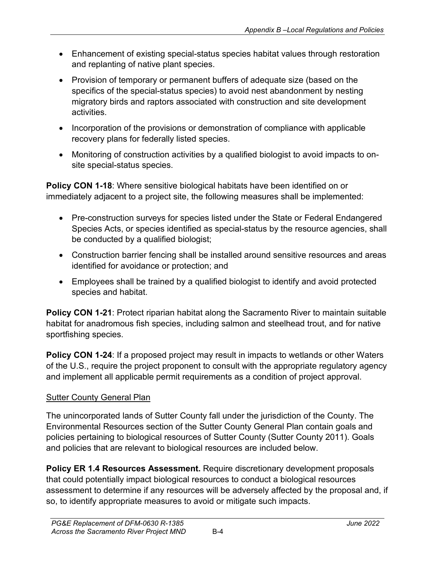- Enhancement of existing special-status species habitat values through restoration and replanting of native plant species.
- Provision of temporary or permanent buffers of adequate size (based on the specifics of the special-status species) to avoid nest abandonment by nesting migratory birds and raptors associated with construction and site development activities.
- Incorporation of the provisions or demonstration of compliance with applicable recovery plans for federally listed species.
- Monitoring of construction activities by a qualified biologist to avoid impacts to onsite special-status species.

**Policy CON 1-18**: Where sensitive biological habitats have been identified on or immediately adjacent to a project site, the following measures shall be implemented:

- Pre-construction surveys for species listed under the State or Federal Endangered Species Acts, or species identified as special-status by the resource agencies, shall be conducted by a qualified biologist;
- Construction barrier fencing shall be installed around sensitive resources and areas identified for avoidance or protection; and
- Employees shall be trained by a qualified biologist to identify and avoid protected species and habitat.

**Policy CON 1-21**: Protect riparian habitat along the Sacramento River to maintain suitable habitat for anadromous fish species, including salmon and steelhead trout, and for native sportfishing species.

**Policy CON 1-24**: If a proposed project may result in impacts to wetlands or other Waters of the U.S., require the project proponent to consult with the appropriate regulatory agency and implement all applicable permit requirements as a condition of project approval.

# **Sutter County General Plan**

The unincorporated lands of Sutter County fall under the jurisdiction of the County. The Environmental Resources section of the Sutter County General Plan contain goals and policies pertaining to biological resources of Sutter County (Sutter County 2011). Goals and policies that are relevant to biological resources are included below.

**Policy ER 1.4 Resources Assessment.** Require discretionary development proposals that could potentially impact biological resources to conduct a biological resources assessment to determine if any resources will be adversely affected by the proposal and, if so, to identify appropriate measures to avoid or mitigate such impacts.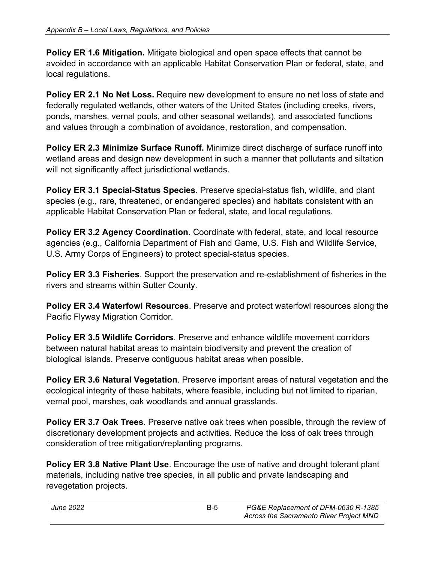**Policy ER 1.6 Mitigation.** Mitigate biological and open space effects that cannot be avoided in accordance with an applicable Habitat Conservation Plan or federal, state, and local regulations.

**Policy ER 2.1 No Net Loss.** Require new development to ensure no net loss of state and federally regulated wetlands, other waters of the United States (including creeks, rivers, ponds, marshes, vernal pools, and other seasonal wetlands), and associated functions and values through a combination of avoidance, restoration, and compensation.

**Policy ER 2.3 Minimize Surface Runoff.** Minimize direct discharge of surface runoff into wetland areas and design new development in such a manner that pollutants and siltation will not significantly affect jurisdictional wetlands.

**Policy ER 3.1 Special-Status Species**. Preserve special-status fish, wildlife, and plant species (e.g., rare, threatened, or endangered species) and habitats consistent with an applicable Habitat Conservation Plan or federal, state, and local regulations.

**Policy ER 3.2 Agency Coordination**. Coordinate with federal, state, and local resource agencies (e.g., California Department of Fish and Game, U.S. Fish and Wildlife Service, U.S. Army Corps of Engineers) to protect special-status species.

**Policy ER 3.3 Fisheries**. Support the preservation and re-establishment of fisheries in the rivers and streams within Sutter County.

**Policy ER 3.4 Waterfowl Resources**. Preserve and protect waterfowl resources along the Pacific Flyway Migration Corridor.

**Policy ER 3.5 Wildlife Corridors**. Preserve and enhance wildlife movement corridors between natural habitat areas to maintain biodiversity and prevent the creation of biological islands. Preserve contiguous habitat areas when possible.

**Policy ER 3.6 Natural Vegetation**. Preserve important areas of natural vegetation and the ecological integrity of these habitats, where feasible, including but not limited to riparian, vernal pool, marshes, oak woodlands and annual grasslands.

**Policy ER 3.7 Oak Trees**. Preserve native oak trees when possible, through the review of discretionary development projects and activities. Reduce the loss of oak trees through consideration of tree mitigation/replanting programs.

**Policy ER 3.8 Native Plant Use**. Encourage the use of native and drought tolerant plant materials, including native tree species, in all public and private landscaping and revegetation projects.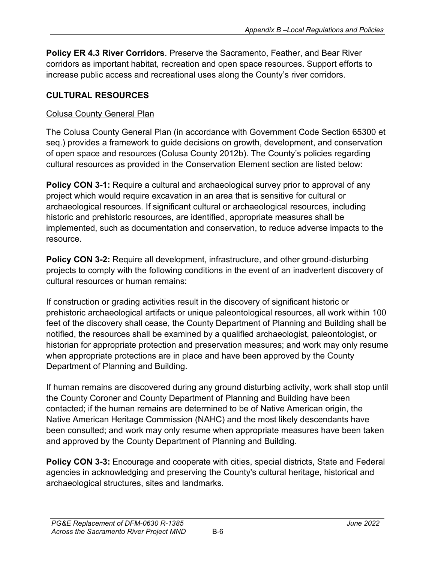**Policy ER 4.3 River Corridors**. Preserve the Sacramento, Feather, and Bear River corridors as important habitat, recreation and open space resources. Support efforts to increase public access and recreational uses along the County's river corridors.

# **CULTURAL RESOURCES**

# Colusa County General Plan

The Colusa County General Plan (in accordance with Government Code Section 65300 et seq.) provides a framework to guide decisions on growth, development, and conservation of open space and resources (Colusa County 2012b). The County's policies regarding cultural resources as provided in the Conservation Element section are listed below:

**Policy CON 3-1:** Require a cultural and archaeological survey prior to approval of any project which would require excavation in an area that is sensitive for cultural or archaeological resources. If significant cultural or archaeological resources, including historic and prehistoric resources, are identified, appropriate measures shall be implemented, such as documentation and conservation, to reduce adverse impacts to the resource.

**Policy CON 3-2:** Require all development, infrastructure, and other ground-disturbing projects to comply with the following conditions in the event of an inadvertent discovery of cultural resources or human remains:

If construction or grading activities result in the discovery of significant historic or prehistoric archaeological artifacts or unique paleontological resources, all work within 100 feet of the discovery shall cease, the County Department of Planning and Building shall be notified, the resources shall be examined by a qualified archaeologist, paleontologist, or historian for appropriate protection and preservation measures; and work may only resume when appropriate protections are in place and have been approved by the County Department of Planning and Building.

If human remains are discovered during any ground disturbing activity, work shall stop until the County Coroner and County Department of Planning and Building have been contacted; if the human remains are determined to be of Native American origin, the Native American Heritage Commission (NAHC) and the most likely descendants have been consulted; and work may only resume when appropriate measures have been taken and approved by the County Department of Planning and Building.

**Policy CON 3-3:** Encourage and cooperate with cities, special districts, State and Federal agencies in acknowledging and preserving the County's cultural heritage, historical and archaeological structures, sites and landmarks.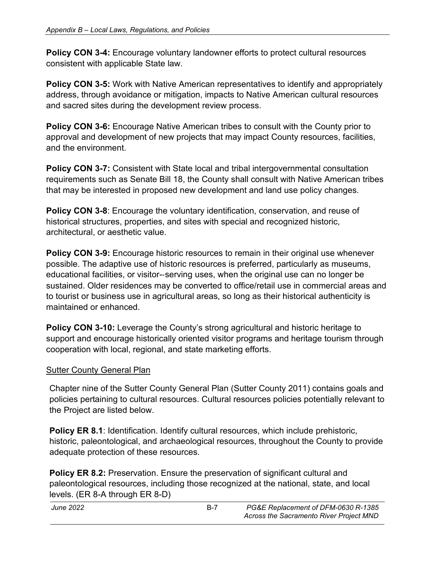**Policy CON 3-4:** Encourage voluntary landowner efforts to protect cultural resources consistent with applicable State law.

**Policy CON 3-5:** Work with Native American representatives to identify and appropriately address, through avoidance or mitigation, impacts to Native American cultural resources and sacred sites during the development review process.

**Policy CON 3-6:** Encourage Native American tribes to consult with the County prior to approval and development of new projects that may impact County resources, facilities, and the environment.

**Policy CON 3-7:** Consistent with State local and tribal intergovernmental consultation requirements such as Senate Bill 18, the County shall consult with Native American tribes that may be interested in proposed new development and land use policy changes.

**Policy CON 3-8**: Encourage the voluntary identification, conservation, and reuse of historical structures, properties, and sites with special and recognized historic, architectural, or aesthetic value.

**Policy CON 3-9:** Encourage historic resources to remain in their original use whenever possible. The adaptive use of historic resources is preferred, particularly as museums, educational facilities, or visitor-‐serving uses, when the original use can no longer be sustained. Older residences may be converted to office/retail use in commercial areas and to tourist or business use in agricultural areas, so long as their historical authenticity is maintained or enhanced.

**Policy CON 3-10:** Leverage the County's strong agricultural and historic heritage to support and encourage historically oriented visitor programs and heritage tourism through cooperation with local, regional, and state marketing efforts.

### **Sutter County General Plan**

Chapter nine of the Sutter County General Plan (Sutter County 2011) contains goals and policies pertaining to cultural resources. Cultural resources policies potentially relevant to the Project are listed below.

**Policy ER 8.1**: Identification. Identify cultural resources, which include prehistoric, historic, paleontological, and archaeological resources, throughout the County to provide adequate protection of these resources.

**Policy ER 8.2:** Preservation. Ensure the preservation of significant cultural and paleontological resources, including those recognized at the national, state, and local levels. (ER 8-A through ER 8-D)

| <b>June 2022</b> | $B-7$ | PG&E Replacement of DFM-0630 R-1385     |
|------------------|-------|-----------------------------------------|
|                  |       | Across the Sacramento River Project MND |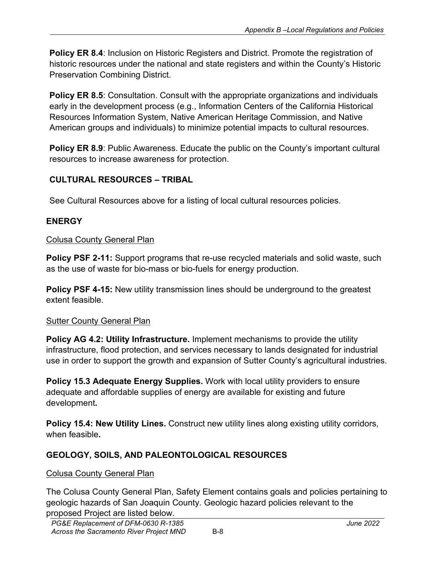**Policy ER 8.4**: Inclusion on Historic Registers and District. Promote the registration of historic resources under the national and state registers and within the County's Historic Preservation Combining District.

**Policy ER 8.5:** Consultation. Consult with the appropriate organizations and individuals early in the development process (e.g., Information Centers of the California Historical Resources Information System, Native American Heritage Commission, and Native American groups and individuals) to minimize potential impacts to cultural resources.

**Policy ER 8.9:** Public Awareness. Educate the public on the County's important cultural resources to increase awareness for protection.

# **CULTURAL RESOURCES – TRIBAL**

See Cultural Resources above for a listing of local cultural resources policies.

# **ENERGY**

### Colusa County General Plan

**Policy PSF 2-11:** Support programs that re-use recycled materials and solid waste, such as the use of waste for bio-mass or bio-fuels for energy production.

**Policy PSF 4-15:** New utility transmission lines should be underground to the greatest extent feasible.

### Sutter County General Plan

**Policy AG 4.2: Utility Infrastructure.** Implement mechanisms to provide the utility infrastructure, flood protection, and services necessary to lands designated for industrial use in order to support the growth and expansion of Sutter County's agricultural industries.

**Policy 15.3 Adequate Energy Supplies.** Work with local utility providers to ensure adequate and affordable supplies of energy are available for existing and future development**.**

**Policy 15.4: New Utility Lines.** Construct new utility lines along existing utility corridors, when feasible**.**

# **GEOLOGY, SOILS, AND PALEONTOLOGICAL RESOURCES**

### Colusa County General Plan

The Colusa County General Plan, Safety Element contains goals and policies pertaining to geologic hazards of San Joaquin County. Geologic hazard policies relevant to the proposed Project are listed below.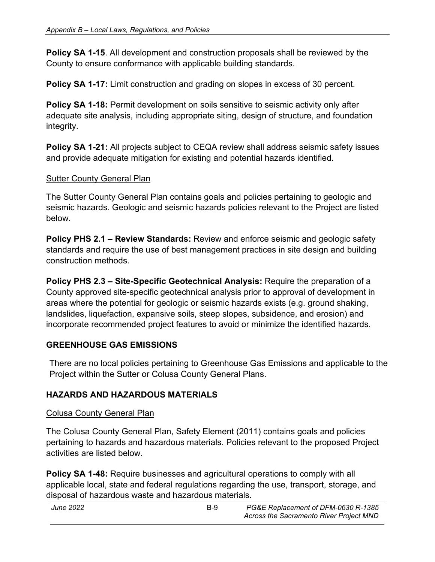**Policy SA 1-15**. All development and construction proposals shall be reviewed by the County to ensure conformance with applicable building standards.

**Policy SA 1-17:** Limit construction and grading on slopes in excess of 30 percent.

**Policy SA 1-18:** Permit development on soils sensitive to seismic activity only after adequate site analysis, including appropriate siting, design of structure, and foundation integrity.

**Policy SA 1-21:** All projects subject to CEQA review shall address seismic safety issues and provide adequate mitigation for existing and potential hazards identified.

#### Sutter County General Plan

The Sutter County General Plan contains goals and policies pertaining to geologic and seismic hazards. Geologic and seismic hazards policies relevant to the Project are listed below.

**Policy PHS 2.1 – Review Standards:** Review and enforce seismic and geologic safety standards and require the use of best management practices in site design and building construction methods.

**Policy PHS 2.3 – Site-Specific Geotechnical Analysis:** Require the preparation of a County approved site-specific geotechnical analysis prior to approval of development in areas where the potential for geologic or seismic hazards exists (e.g. ground shaking, landslides, liquefaction, expansive soils, steep slopes, subsidence, and erosion) and incorporate recommended project features to avoid or minimize the identified hazards.

### **GREENHOUSE GAS EMISSIONS**

There are no local policies pertaining to Greenhouse Gas Emissions and applicable to the Project within the Sutter or Colusa County General Plans.

### **HAZARDS AND HAZARDOUS MATERIALS**

#### Colusa County General Plan

The Colusa County General Plan, Safety Element (2011) contains goals and policies pertaining to hazards and hazardous materials. Policies relevant to the proposed Project activities are listed below.

**Policy SA 1-48:** Require businesses and agricultural operations to comply with all applicable local, state and federal regulations regarding the use, transport, storage, and disposal of hazardous waste and hazardous materials.

| June 2022 | <b>B-9</b> | PG&E Replacement of DFM-0630 R-1385     |
|-----------|------------|-----------------------------------------|
|           |            | Across the Sacramento River Project MND |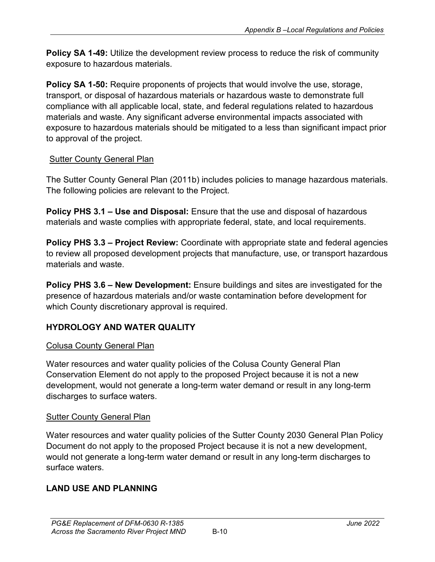**Policy SA 1-49:** Utilize the development review process to reduce the risk of community exposure to hazardous materials.

**Policy SA 1-50:** Require proponents of projects that would involve the use, storage, transport, or disposal of hazardous materials or hazardous waste to demonstrate full compliance with all applicable local, state, and federal regulations related to hazardous materials and waste. Any significant adverse environmental impacts associated with exposure to hazardous materials should be mitigated to a less than significant impact prior to approval of the project.

# **Sutter County General Plan**

The Sutter County General Plan (2011b) includes policies to manage hazardous materials. The following policies are relevant to the Project.

**Policy PHS 3.1 – Use and Disposal:** Ensure that the use and disposal of hazardous materials and waste complies with appropriate federal, state, and local requirements.

**Policy PHS 3.3 – Project Review:** Coordinate with appropriate state and federal agencies to review all proposed development projects that manufacture, use, or transport hazardous materials and waste.

**Policy PHS 3.6 – New Development:** Ensure buildings and sites are investigated for the presence of hazardous materials and/or waste contamination before development for which County discretionary approval is required.

# **HYDROLOGY AND WATER QUALITY**

# Colusa County General Plan

Water resources and water quality policies of the Colusa County General Plan Conservation Element do not apply to the proposed Project because it is not a new development, would not generate a long-term water demand or result in any long-term discharges to surface waters.

# **Sutter County General Plan**

Water resources and water quality policies of the Sutter County 2030 General Plan Policy Document do not apply to the proposed Project because it is not a new development, would not generate a long-term water demand or result in any long-term discharges to surface waters.

# **LAND USE AND PLANNING**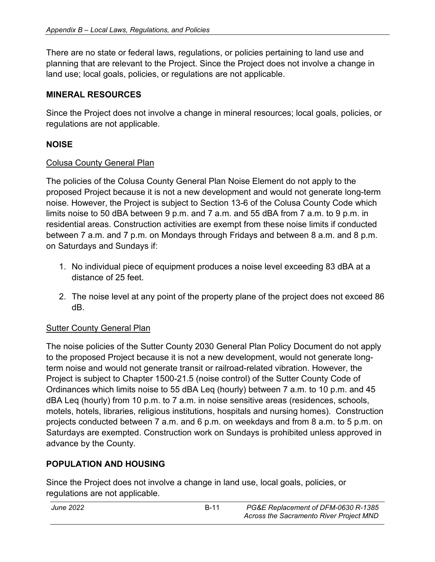There are no state or federal laws, regulations, or policies pertaining to land use and planning that are relevant to the Project. Since the Project does not involve a change in land use; local goals, policies, or regulations are not applicable.

### **MINERAL RESOURCES**

Since the Project does not involve a change in mineral resources; local goals, policies, or regulations are not applicable.

# **NOISE**

#### Colusa County General Plan

The policies of the Colusa County General Plan Noise Element do not apply to the proposed Project because it is not a new development and would not generate long-term noise. However, the Project is subject to Section 13-6 of the Colusa County Code which limits noise to 50 dBA between 9 p.m. and 7 a.m. and 55 dBA from 7 a.m. to 9 p.m. in residential areas. Construction activities are exempt from these noise limits if conducted between 7 a.m. and 7 p.m. on Mondays through Fridays and between 8 a.m. and 8 p.m. on Saturdays and Sundays if:

- 1. No individual piece of equipment produces a noise level exceeding 83 dBA at a distance of 25 feet.
- 2. The noise level at any point of the property plane of the project does not exceed 86 dB.

### Sutter County General Plan

The noise policies of the Sutter County 2030 General Plan Policy Document do not apply to the proposed Project because it is not a new development, would not generate longterm noise and would not generate transit or railroad-related vibration. However, the Project is subject to Chapter 1500-21.5 (noise control) of the Sutter County Code of Ordinances which limits noise to 55 dBA Leq (hourly) between 7 a.m. to 10 p.m. and 45 dBA Leq (hourly) from 10 p.m. to 7 a.m. in noise sensitive areas (residences, schools, motels, hotels, libraries, religious institutions, hospitals and nursing homes). Construction projects conducted between 7 a.m. and 6 p.m. on weekdays and from 8 a.m. to 5 p.m. on Saturdays are exempted. Construction work on Sundays is prohibited unless approved in advance by the County.

# **POPULATION AND HOUSING**

Since the Project does not involve a change in land use, local goals, policies, or regulations are not applicable.

| June 2022 | <b>B-11</b> | PG&E Replacement of DFM-0630 R-1385     |
|-----------|-------------|-----------------------------------------|
|           |             | Across the Sacramento River Project MND |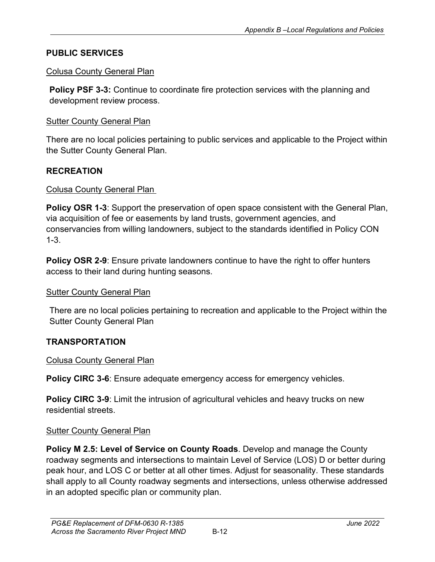### **PUBLIC SERVICES**

#### Colusa County General Plan

**Policy PSF 3-3:** Continue to coordinate fire protection services with the planning and development review process.

### Sutter County General Plan

There are no local policies pertaining to public services and applicable to the Project within the Sutter County General Plan.

### **RECREATION**

### Colusa County General Plan

**Policy OSR 1-3**: Support the preservation of open space consistent with the General Plan, via acquisition of fee or easements by land trusts, government agencies, and conservancies from willing landowners, subject to the standards identified in Policy CON 1-3.

**Policy OSR 2-9**: Ensure private landowners continue to have the right to offer hunters access to their land during hunting seasons.

### Sutter County General Plan

There are no local policies pertaining to recreation and applicable to the Project within the Sutter County General Plan

### **TRANSPORTATION**

### Colusa County General Plan

**Policy CIRC 3-6:** Ensure adequate emergency access for emergency vehicles.

**Policy CIRC 3-9**: Limit the intrusion of agricultural vehicles and heavy trucks on new residential streets.

### **Sutter County General Plan**

**Policy M 2.5: Level of Service on County Roads**. Develop and manage the County roadway segments and intersections to maintain Level of Service (LOS) D or better during peak hour, and LOS C or better at all other times. Adjust for seasonality. These standards shall apply to all County roadway segments and intersections, unless otherwise addressed in an adopted specific plan or community plan.